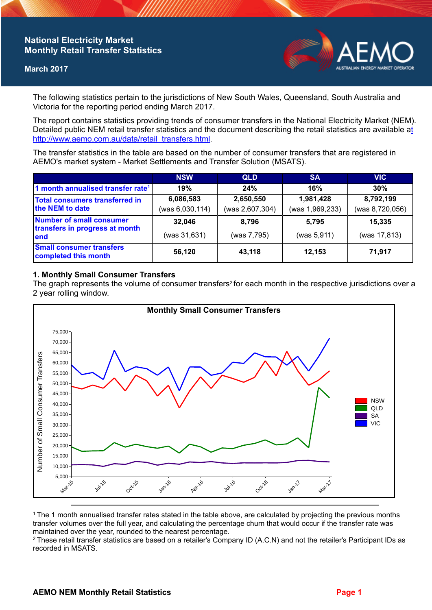## **National Electricity Market Monthly Retail Transfer Statistics**

#### **March 2017**



The following statistics pertain to the jurisdictions of New South Wales, Queensland, South Australia and Victoria for the reporting period ending March 2017.

The report contains statistics providing trends of consumer transfers in the National Electricity Market (NEM). Detailed public NEM retail transfer statistics and the document describing the retail statistics are available a[t](http://www.aemo.com.au/data/retail_transfers.html)  http://www.aemo.com.au/data/retail\_transfers.html

The transfer statistics in the table are based on the number of consumer transfers that are registered in AEMO's market system - Market Settlements and Transfer Solution (MSATS).

|                                                                    | <b>NSW</b>                   | <b>QLD</b>                   | <b>SA</b>                    | <b>VIC</b>                   |
|--------------------------------------------------------------------|------------------------------|------------------------------|------------------------------|------------------------------|
| 1 month annualised transfer rate <sup>1</sup>                      | 19%                          | 24%                          | 16%                          | 30%                          |
| <b>Total consumers transferred in</b><br>the NEM to date           | 6,086,583<br>(was 6,030,114) | 2,650,550<br>(was 2,607,304) | 1,981,428<br>(was 1,969,233) | 8,792,199<br>(was 8,720,056) |
| Number of small consumer<br>transfers in progress at month<br>lend | 32,046<br>(was 31,631)       | 8.796<br>(was 7,795)         | 5.795<br>(was 5,911)         | 15,335<br>(was 17,813)       |
| <b>Small consumer transfers</b><br>completed this month            | 56,120                       | 43,118                       | 12.153                       | 71,917                       |

### **1. Monthly Small Consumer Transfers**

The graph represents the volume of consumer transfers<sup>2</sup> for each month in the respective jurisdictions over a 2 year rolling window.



<sup>1</sup>The 1 month annualised transfer rates stated in the table above, are calculated by projecting the previous months transfer volumes over the full year, and calculating the percentage churn that would occur if the transfer rate was maintained over the year, rounded to the nearest percentage.

<sup>2</sup> These retail transfer statistics are based on a retailer's Company ID (A.C.N) and not the retailer's Participant IDs as recorded in MSATS.